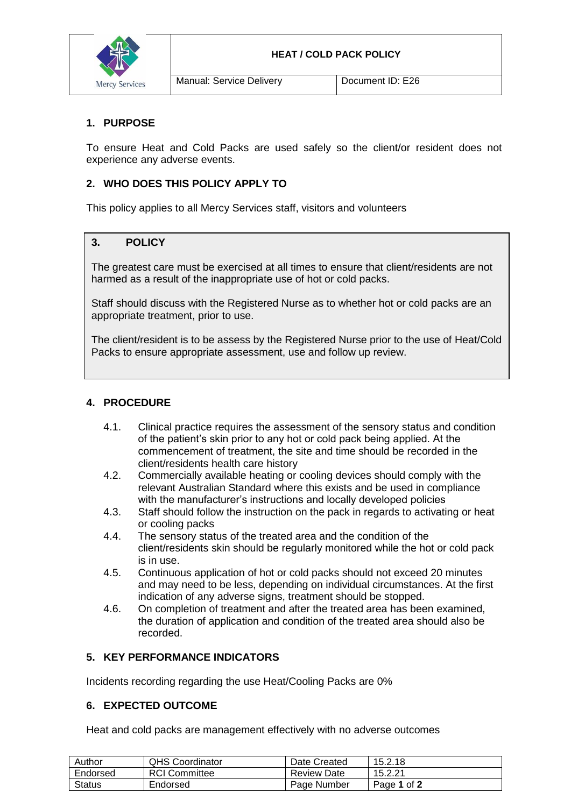

### **HEAT / COLD PACK POLICY**

Manual: Service Delivery **Document ID: E26** 

## **1. PURPOSE**

To ensure Heat and Cold Packs are used safely so the client/or resident does not experience any adverse events.

## **2. WHO DOES THIS POLICY APPLY TO**

This policy applies to all Mercy Services staff, visitors and volunteers

## **3. POLICY**

The greatest care must be exercised at all times to ensure that client/residents are not harmed as a result of the inappropriate use of hot or cold packs.

Staff should discuss with the Registered Nurse as to whether hot or cold packs are an appropriate treatment, prior to use.

The client/resident is to be assess by the Registered Nurse prior to the use of Heat/Cold Packs to ensure appropriate assessment, use and follow up review.

### **4. PROCEDURE**

- 4.1. Clinical practice requires the assessment of the sensory status and condition of the patient's skin prior to any hot or cold pack being applied. At the commencement of treatment, the site and time should be recorded in the client/residents health care history
- 4.2. Commercially available heating or cooling devices should comply with the relevant Australian Standard where this exists and be used in compliance with the manufacturer's instructions and locally developed policies
- 4.3. Staff should follow the instruction on the pack in regards to activating or heat or cooling packs
- 4.4. The sensory status of the treated area and the condition of the client/residents skin should be regularly monitored while the hot or cold pack is in use.
- 4.5. Continuous application of hot or cold packs should not exceed 20 minutes and may need to be less, depending on individual circumstances. At the first indication of any adverse signs, treatment should be stopped.
- 4.6. On completion of treatment and after the treated area has been examined, the duration of application and condition of the treated area should also be recorded.

### **5. KEY PERFORMANCE INDICATORS**

Incidents recording regarding the use Heat/Cooling Packs are 0%

### **6. EXPECTED OUTCOME**

Heat and cold packs are management effectively with no adverse outcomes

| Author   | <b>QHS Coordinator</b> | Date Created       | 15.2.18     |
|----------|------------------------|--------------------|-------------|
| Endorsed | <b>RCI Committee</b>   | <b>Review Date</b> | 15.2.21     |
| Status   | Endorsed               | Page Number        | Page 1 of 2 |